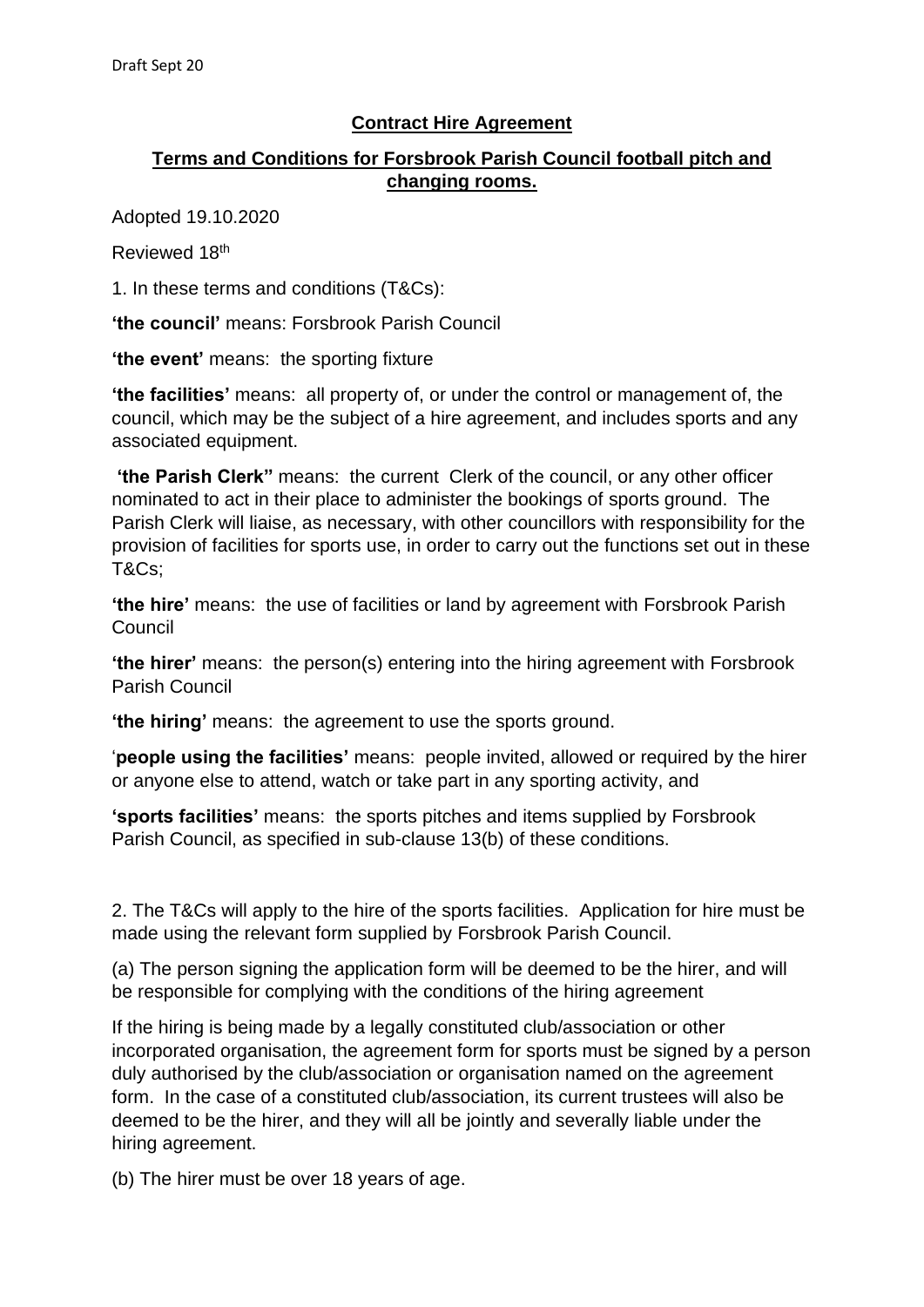## **Contract Hire Agreement**

## **Terms and Conditions for Forsbrook Parish Council football pitch and changing rooms.**

Adopted 19.10.2020

Reviewed 18th

1. In these terms and conditions (T&Cs):

**'the council'** means: Forsbrook Parish Council

**'the event'** means: the sporting fixture

**'the facilities'** means: all property of, or under the control or management of, the council, which may be the subject of a hire agreement, and includes sports and any associated equipment.

**'the Parish Clerk"** means: the current Clerk of the council, or any other officer nominated to act in their place to administer the bookings of sports ground. The Parish Clerk will liaise, as necessary, with other councillors with responsibility for the provision of facilities for sports use, in order to carry out the functions set out in these T&Cs;

**'the hire'** means: the use of facilities or land by agreement with Forsbrook Parish Council

**'the hirer'** means: the person(s) entering into the hiring agreement with Forsbrook Parish Council

**'the hiring'** means: the agreement to use the sports ground.

'**people using the facilities'** means: people invited, allowed or required by the hirer or anyone else to attend, watch or take part in any sporting activity, and

**'sports facilities'** means: the sports pitches and items supplied by Forsbrook Parish Council, as specified in sub-clause 13(b) of these conditions.

2. The T&Cs will apply to the hire of the sports facilities. Application for hire must be made using the relevant form supplied by Forsbrook Parish Council.

(a) The person signing the application form will be deemed to be the hirer, and will be responsible for complying with the conditions of the hiring agreement

If the hiring is being made by a legally constituted club/association or other incorporated organisation, the agreement form for sports must be signed by a person duly authorised by the club/association or organisation named on the agreement form. In the case of a constituted club/association, its current trustees will also be deemed to be the hirer, and they will all be jointly and severally liable under the hiring agreement.

(b) The hirer must be over 18 years of age.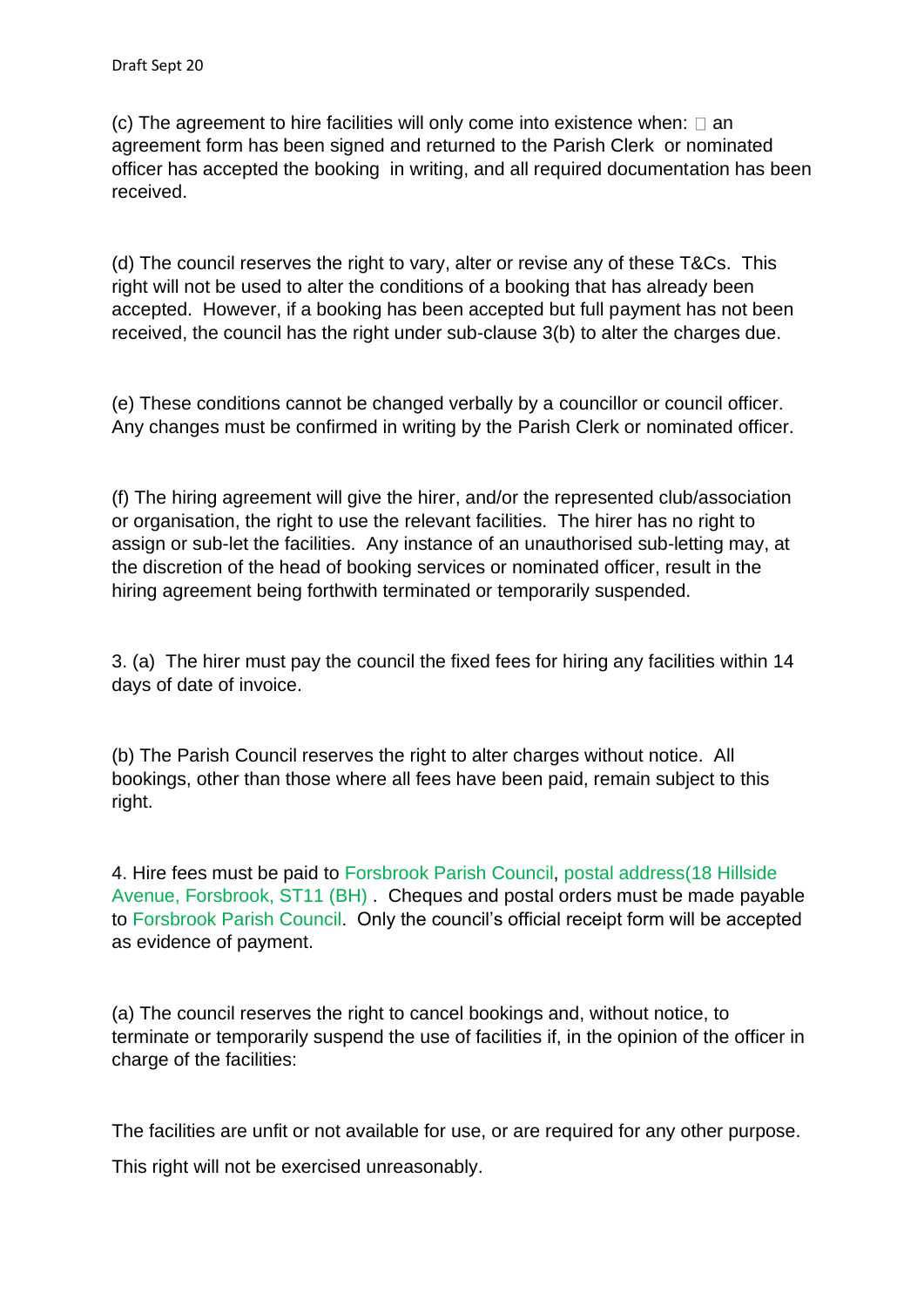(c) The agreement to hire facilities will only come into existence when:  $\square$  an agreement form has been signed and returned to the Parish Clerk or nominated officer has accepted the booking in writing, and all required documentation has been received.

(d) The council reserves the right to vary, alter or revise any of these T&Cs. This right will not be used to alter the conditions of a booking that has already been accepted. However, if a booking has been accepted but full payment has not been received, the council has the right under sub-clause 3(b) to alter the charges due.

(e) These conditions cannot be changed verbally by a councillor or council officer. Any changes must be confirmed in writing by the Parish Clerk or nominated officer.

(f) The hiring agreement will give the hirer, and/or the represented club/association or organisation, the right to use the relevant facilities. The hirer has no right to assign or sub-let the facilities. Any instance of an unauthorised sub-letting may, at the discretion of the head of booking services or nominated officer, result in the hiring agreement being forthwith terminated or temporarily suspended.

3. (a) The hirer must pay the council the fixed fees for hiring any facilities within 14 days of date of invoice.

(b) The Parish Council reserves the right to alter charges without notice. All bookings, other than those where all fees have been paid, remain subject to this right.

4. Hire fees must be paid to Forsbrook Parish Council, postal address(18 Hillside Avenue, Forsbrook, ST11 (BH) . Cheques and postal orders must be made payable to Forsbrook Parish Council. Only the council's official receipt form will be accepted as evidence of payment.

(a) The council reserves the right to cancel bookings and, without notice, to terminate or temporarily suspend the use of facilities if, in the opinion of the officer in charge of the facilities:

The facilities are unfit or not available for use, or are required for any other purpose.

This right will not be exercised unreasonably.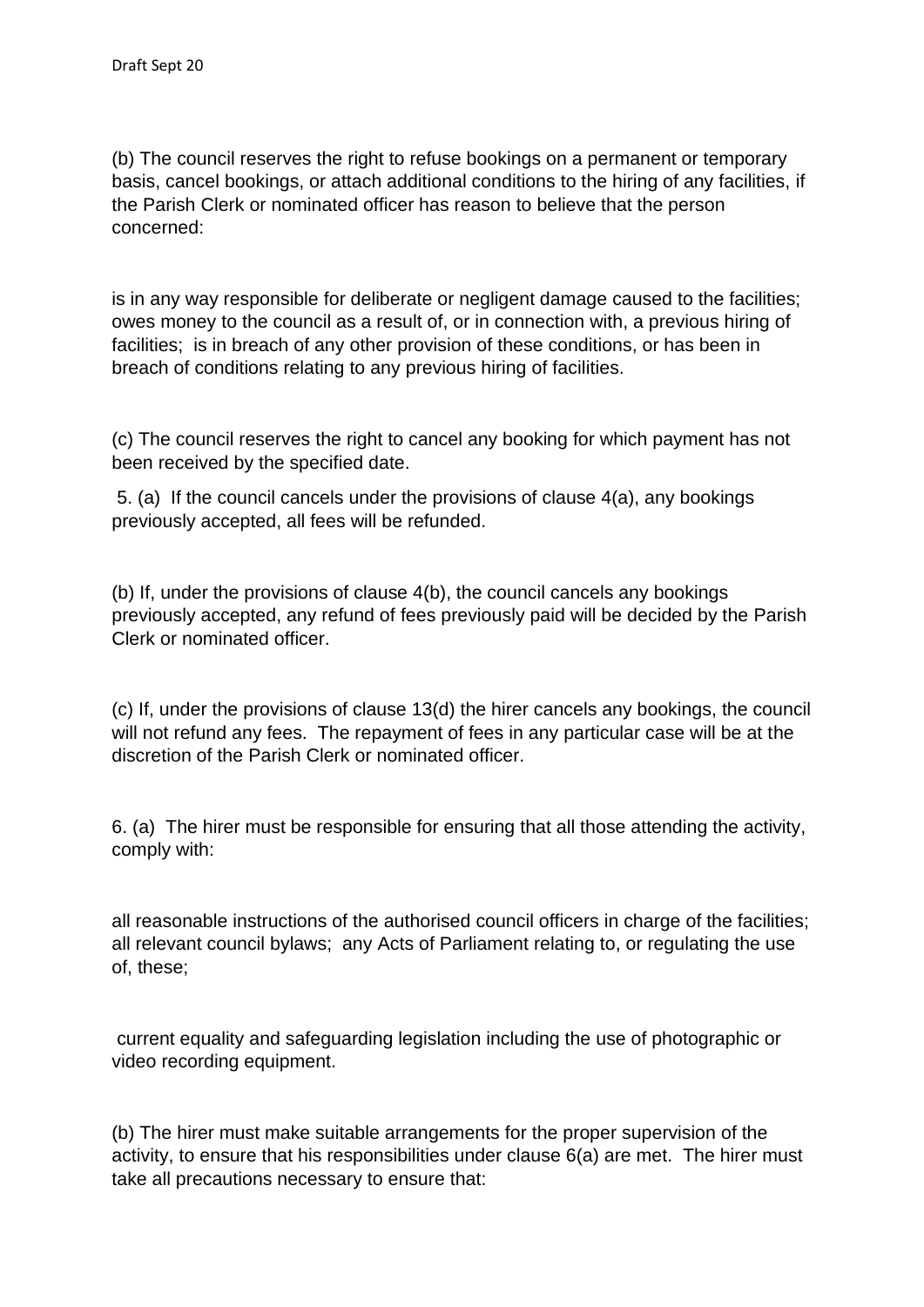(b) The council reserves the right to refuse bookings on a permanent or temporary basis, cancel bookings, or attach additional conditions to the hiring of any facilities, if the Parish Clerk or nominated officer has reason to believe that the person concerned:

is in any way responsible for deliberate or negligent damage caused to the facilities; owes money to the council as a result of, or in connection with, a previous hiring of facilities; is in breach of any other provision of these conditions, or has been in breach of conditions relating to any previous hiring of facilities.

(c) The council reserves the right to cancel any booking for which payment has not been received by the specified date.

5. (a) If the council cancels under the provisions of clause 4(a), any bookings previously accepted, all fees will be refunded.

(b) If, under the provisions of clause 4(b), the council cancels any bookings previously accepted, any refund of fees previously paid will be decided by the Parish Clerk or nominated officer.

(c) If, under the provisions of clause 13(d) the hirer cancels any bookings, the council will not refund any fees. The repayment of fees in any particular case will be at the discretion of the Parish Clerk or nominated officer.

6. (a) The hirer must be responsible for ensuring that all those attending the activity, comply with:

all reasonable instructions of the authorised council officers in charge of the facilities; all relevant council bylaws; any Acts of Parliament relating to, or regulating the use of, these;

current equality and safeguarding legislation including the use of photographic or video recording equipment.

(b) The hirer must make suitable arrangements for the proper supervision of the activity, to ensure that his responsibilities under clause 6(a) are met. The hirer must take all precautions necessary to ensure that: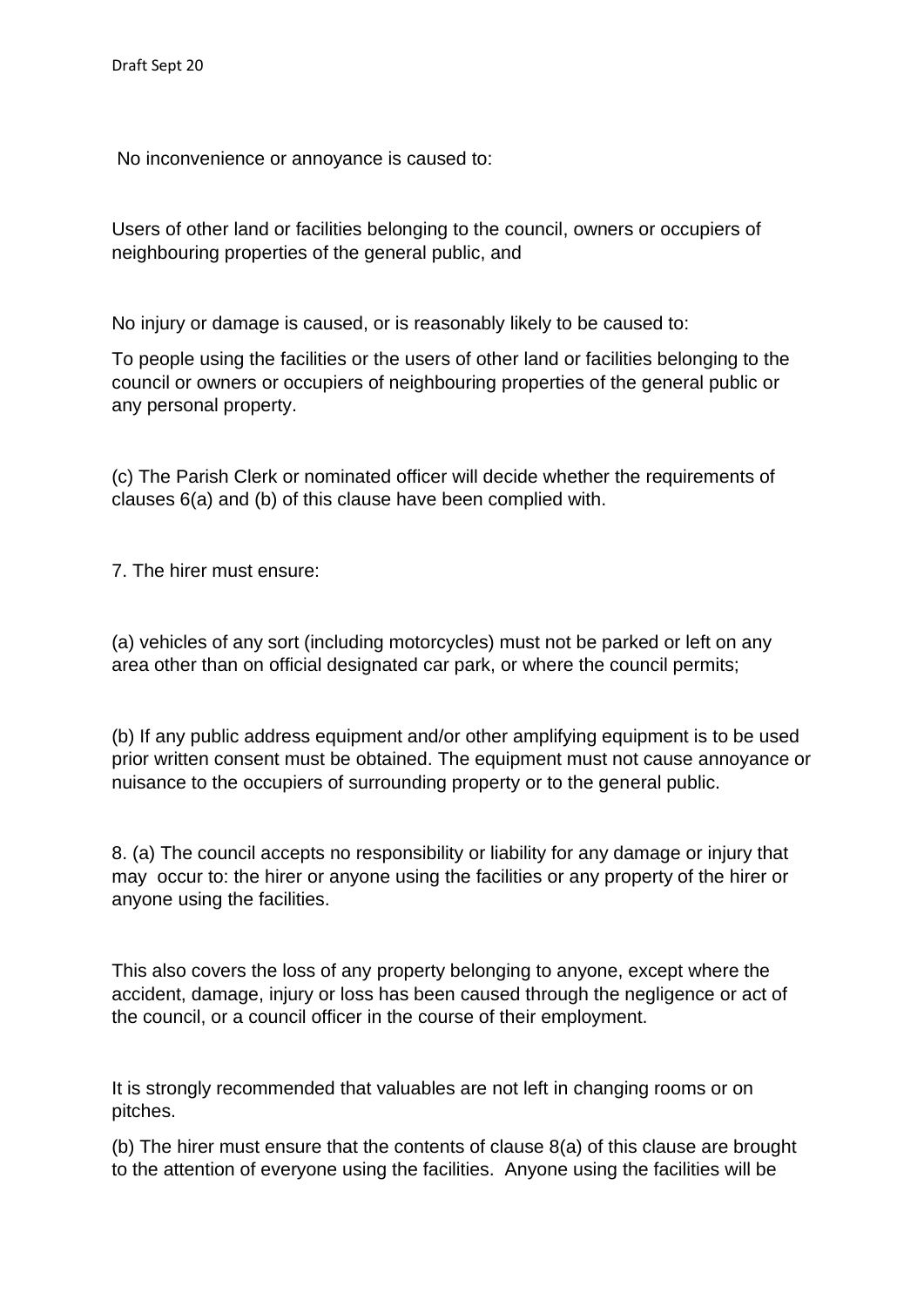No inconvenience or annoyance is caused to:

Users of other land or facilities belonging to the council, owners or occupiers of neighbouring properties of the general public, and

No injury or damage is caused, or is reasonably likely to be caused to:

To people using the facilities or the users of other land or facilities belonging to the council or owners or occupiers of neighbouring properties of the general public or any personal property.

(c) The Parish Clerk or nominated officer will decide whether the requirements of clauses 6(a) and (b) of this clause have been complied with.

7. The hirer must ensure:

(a) vehicles of any sort (including motorcycles) must not be parked or left on any area other than on official designated car park, or where the council permits;

(b) If any public address equipment and/or other amplifying equipment is to be used prior written consent must be obtained. The equipment must not cause annoyance or nuisance to the occupiers of surrounding property or to the general public.

8. (a) The council accepts no responsibility or liability for any damage or injury that may occur to: the hirer or anyone using the facilities or any property of the hirer or anyone using the facilities.

This also covers the loss of any property belonging to anyone, except where the accident, damage, injury or loss has been caused through the negligence or act of the council, or a council officer in the course of their employment.

It is strongly recommended that valuables are not left in changing rooms or on pitches.

(b) The hirer must ensure that the contents of clause 8(a) of this clause are brought to the attention of everyone using the facilities. Anyone using the facilities will be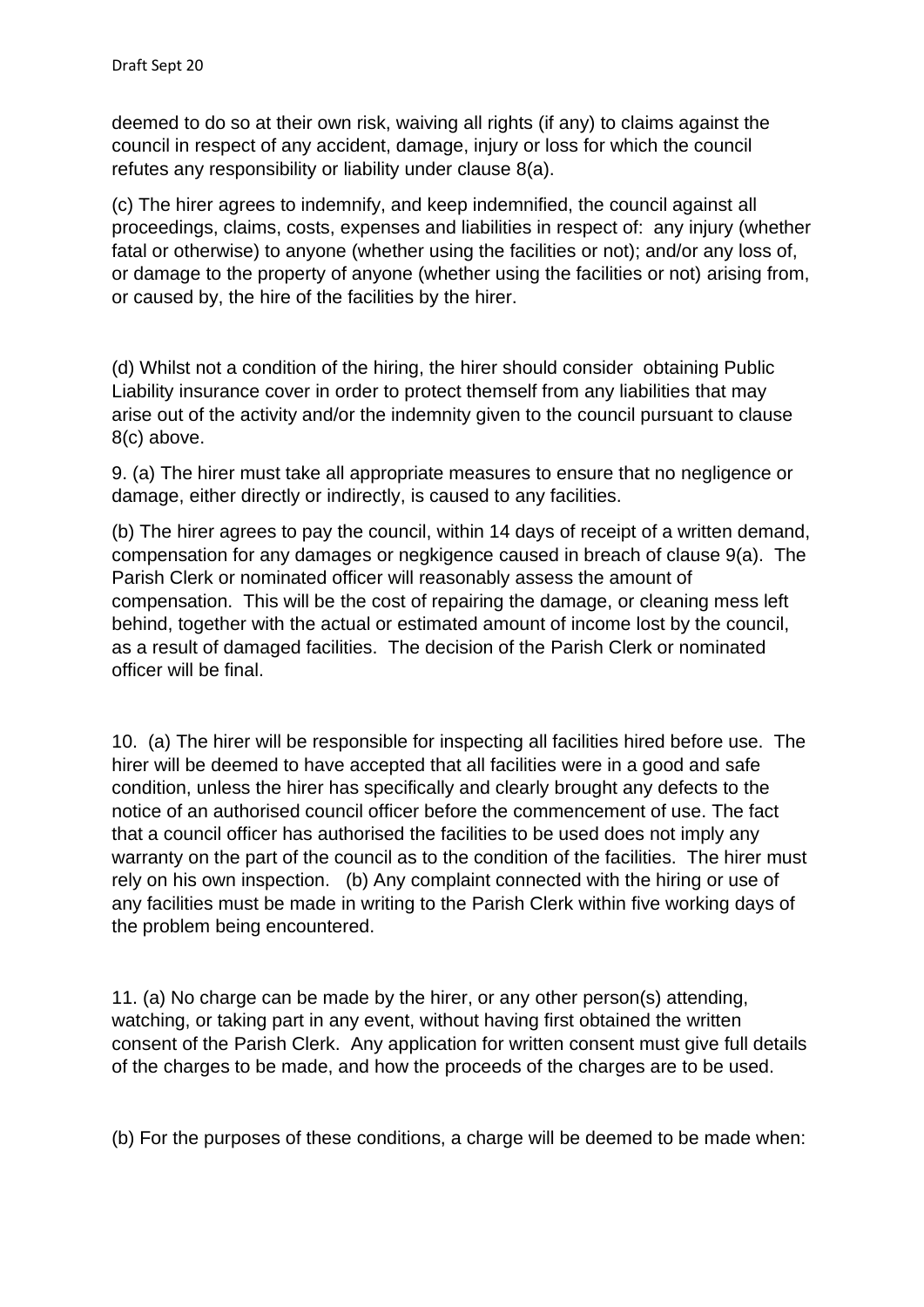deemed to do so at their own risk, waiving all rights (if any) to claims against the council in respect of any accident, damage, injury or loss for which the council refutes any responsibility or liability under clause 8(a).

(c) The hirer agrees to indemnify, and keep indemnified, the council against all proceedings, claims, costs, expenses and liabilities in respect of: any injury (whether fatal or otherwise) to anyone (whether using the facilities or not); and/or any loss of, or damage to the property of anyone (whether using the facilities or not) arising from, or caused by, the hire of the facilities by the hirer.

(d) Whilst not a condition of the hiring, the hirer should consider obtaining Public Liability insurance cover in order to protect themself from any liabilities that may arise out of the activity and/or the indemnity given to the council pursuant to clause 8(c) above.

9. (a) The hirer must take all appropriate measures to ensure that no negligence or damage, either directly or indirectly, is caused to any facilities.

(b) The hirer agrees to pay the council, within 14 days of receipt of a written demand, compensation for any damages or negkigence caused in breach of clause 9(a). The Parish Clerk or nominated officer will reasonably assess the amount of compensation. This will be the cost of repairing the damage, or cleaning mess left behind, together with the actual or estimated amount of income lost by the council, as a result of damaged facilities. The decision of the Parish Clerk or nominated officer will be final.

10. (a) The hirer will be responsible for inspecting all facilities hired before use. The hirer will be deemed to have accepted that all facilities were in a good and safe condition, unless the hirer has specifically and clearly brought any defects to the notice of an authorised council officer before the commencement of use. The fact that a council officer has authorised the facilities to be used does not imply any warranty on the part of the council as to the condition of the facilities. The hirer must rely on his own inspection. (b) Any complaint connected with the hiring or use of any facilities must be made in writing to the Parish Clerk within five working days of the problem being encountered.

11. (a) No charge can be made by the hirer, or any other person(s) attending, watching, or taking part in any event, without having first obtained the written consent of the Parish Clerk. Any application for written consent must give full details of the charges to be made, and how the proceeds of the charges are to be used.

(b) For the purposes of these conditions, a charge will be deemed to be made when: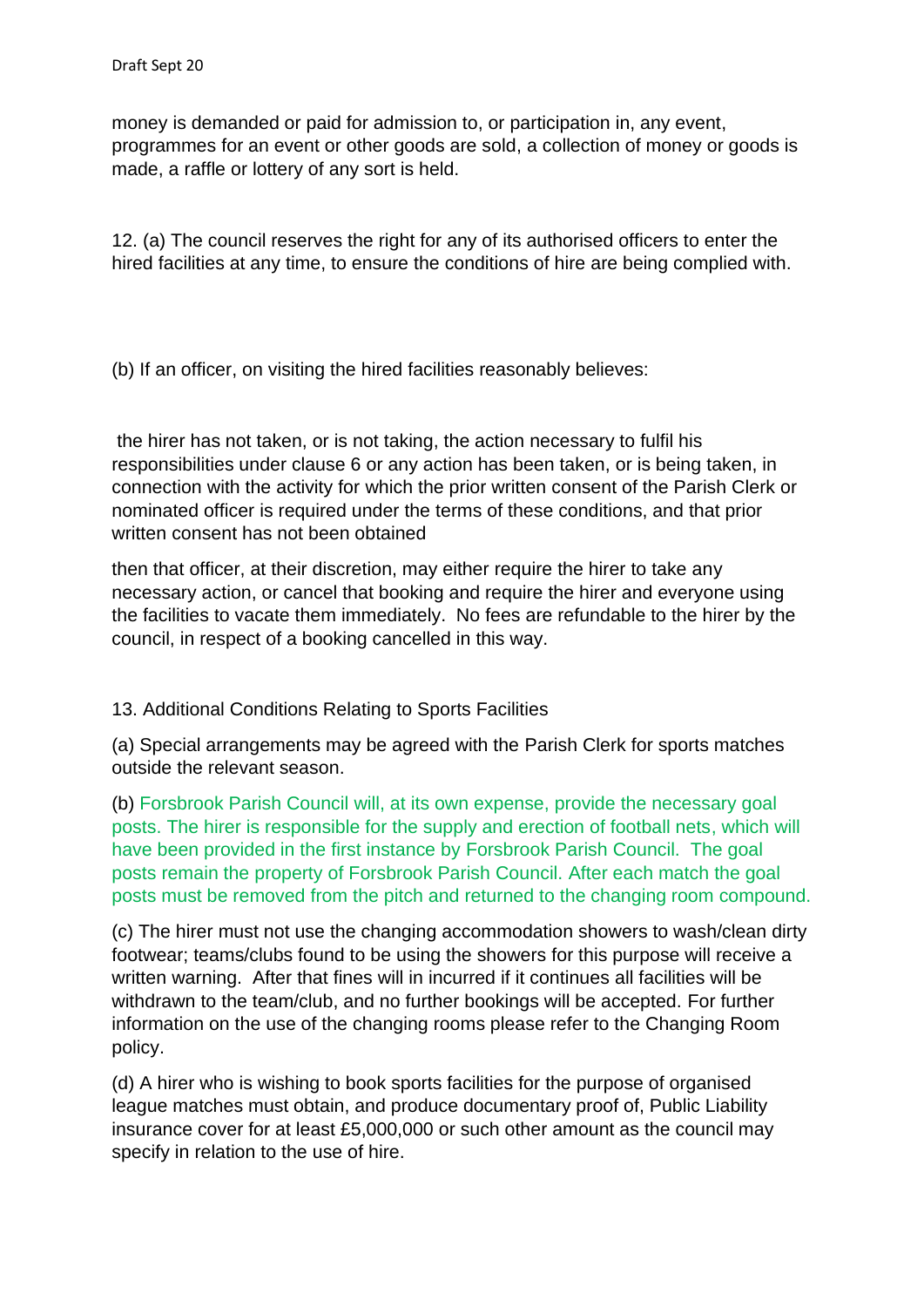money is demanded or paid for admission to, or participation in, any event, programmes for an event or other goods are sold, a collection of money or goods is made, a raffle or lottery of any sort is held.

12. (a) The council reserves the right for any of its authorised officers to enter the hired facilities at any time, to ensure the conditions of hire are being complied with.

(b) If an officer, on visiting the hired facilities reasonably believes:

the hirer has not taken, or is not taking, the action necessary to fulfil his responsibilities under clause 6 or any action has been taken, or is being taken, in connection with the activity for which the prior written consent of the Parish Clerk or nominated officer is required under the terms of these conditions, and that prior written consent has not been obtained

then that officer, at their discretion, may either require the hirer to take any necessary action, or cancel that booking and require the hirer and everyone using the facilities to vacate them immediately. No fees are refundable to the hirer by the council, in respect of a booking cancelled in this way.

13. Additional Conditions Relating to Sports Facilities

(a) Special arrangements may be agreed with the Parish Clerk for sports matches outside the relevant season.

(b) Forsbrook Parish Council will, at its own expense, provide the necessary goal posts. The hirer is responsible for the supply and erection of football nets, which will have been provided in the first instance by Forsbrook Parish Council. The goal posts remain the property of Forsbrook Parish Council. After each match the goal posts must be removed from the pitch and returned to the changing room compound.

(c) The hirer must not use the changing accommodation showers to wash/clean dirty footwear; teams/clubs found to be using the showers for this purpose will receive a written warning. After that fines will in incurred if it continues all facilities will be withdrawn to the team/club, and no further bookings will be accepted. For further information on the use of the changing rooms please refer to the Changing Room policy.

(d) A hirer who is wishing to book sports facilities for the purpose of organised league matches must obtain, and produce documentary proof of, Public Liability insurance cover for at least £5,000,000 or such other amount as the council may specify in relation to the use of hire.